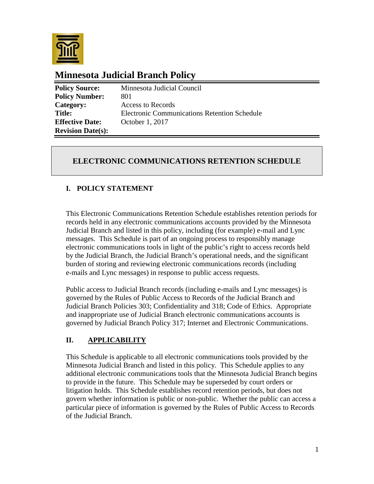

# **Minnesota Judicial Branch Policy**

| <b>Policy Source:</b>    | Minnesota Judicial Council                          |
|--------------------------|-----------------------------------------------------|
| <b>Policy Number:</b>    | 801                                                 |
| Category:                | Access to Records                                   |
| <b>Title:</b>            | <b>Electronic Communications Retention Schedule</b> |
| <b>Effective Date:</b>   | October 1, 2017                                     |
| <b>Revision Date(s):</b> |                                                     |

# **ELECTRONIC COMMUNICATIONS RETENTION SCHEDULE**

## **I. POLICY STATEMENT**

This Electronic Communications Retention Schedule establishes retention periods for records held in any electronic communications accounts provided by the Minnesota Judicial Branch and listed in this policy, including (for example) e-mail and Lync messages. This Schedule is part of an ongoing process to responsibly manage electronic communications tools in light of the public's right to access records held by the Judicial Branch, the Judicial Branch's operational needs, and the significant burden of storing and reviewing electronic communications records (including e-mails and Lync messages) in response to public access requests.

Public access to Judicial Branch records (including e-mails and Lync messages) is governed by the Rules of Public Access to Records of the Judicial Branch and Judicial Branch Policies 303; Confidentiality and 318; Code of Ethics. Appropriate and inappropriate use of Judicial Branch electronic communications accounts is governed by Judicial Branch Policy 317; Internet and Electronic Communications.

## **II. APPLICABILITY**

This Schedule is applicable to all electronic communications tools provided by the Minnesota Judicial Branch and listed in this policy. This Schedule applies to any additional electronic communications tools that the Minnesota Judicial Branch begins to provide in the future. This Schedule may be superseded by court orders or litigation holds. This Schedule establishes record retention periods, but does not govern whether information is public or non-public. Whether the public can access a particular piece of information is governed by the Rules of Public Access to Records of the Judicial Branch.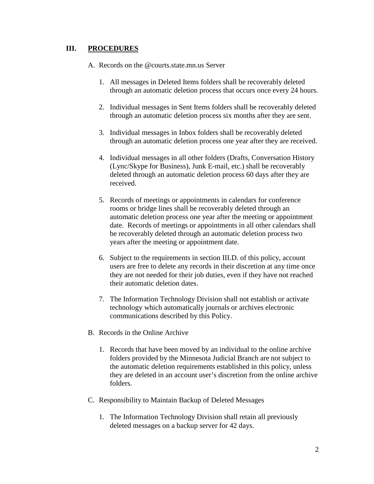#### **III. PROCEDURES**

A. Records on the @courts.state.mn.us Server

- 1. All messages in Deleted Items folders shall be recoverably deleted through an automatic deletion process that occurs once every 24 hours.
- 2. Individual messages in Sent Items folders shall be recoverably deleted through an automatic deletion process six months after they are sent.
- 3. Individual messages in Inbox folders shall be recoverably deleted through an automatic deletion process one year after they are received.
- 4. Individual messages in all other folders (Drafts, Conversation History (Lync/Skype for Business), Junk E-mail, etc.) shall be recoverably deleted through an automatic deletion process 60 days after they are received.
- 5. Records of meetings or appointments in calendars for conference rooms or bridge lines shall be recoverably deleted through an automatic deletion process one year after the meeting or appointment date. Records of meetings or appointments in all other calendars shall be recoverably deleted through an automatic deletion process two years after the meeting or appointment date.
- 6. Subject to the requirements in section III.D. of this policy, account users are free to delete any records in their discretion at any time once they are not needed for their job duties, even if they have not reached their automatic deletion dates.
- 7. The Information Technology Division shall not establish or activate technology which automatically journals or archives electronic communications described by this Policy.
- B. Records in the Online Archive
	- 1. Records that have been moved by an individual to the online archive folders provided by the Minnesota Judicial Branch are not subject to the automatic deletion requirements established in this policy, unless they are deleted in an account user's discretion from the online archive folders.
- C. Responsibility to Maintain Backup of Deleted Messages
	- 1. The Information Technology Division shall retain all previously deleted messages on a backup server for 42 days.